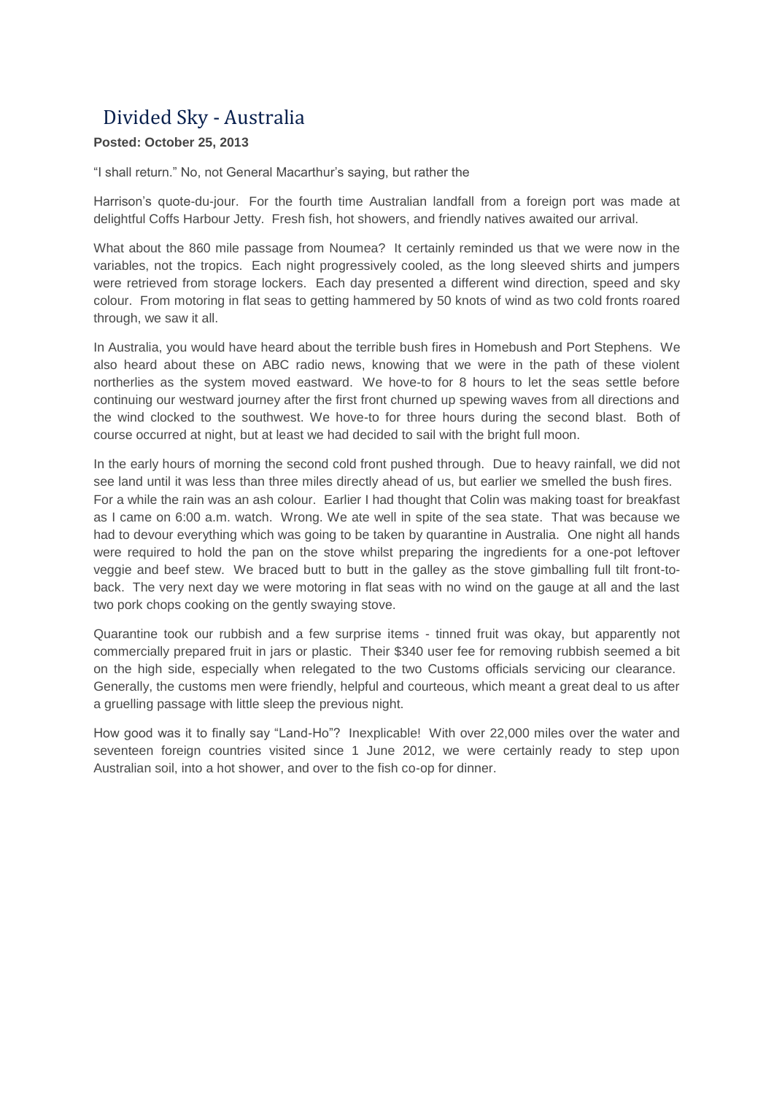## Divided Sky - Australia

## **Posted: October 25, 2013**

"I shall return." No, not General Macarthur's saying, but rather the

Harrison's quote-du-jour. For the fourth time Australian landfall from a foreign port was made at delightful Coffs Harbour Jetty. Fresh fish, hot showers, and friendly natives awaited our arrival.

What about the 860 mile passage from Noumea? It certainly reminded us that we were now in the variables, not the tropics. Each night progressively cooled, as the long sleeved shirts and jumpers were retrieved from storage lockers. Each day presented a different wind direction, speed and sky colour. From motoring in flat seas to getting hammered by 50 knots of wind as two cold fronts roared through, we saw it all.

In Australia, you would have heard about the terrible bush fires in Homebush and Port Stephens. We also heard about these on ABC radio news, knowing that we were in the path of these violent northerlies as the system moved eastward. We hove-to for 8 hours to let the seas settle before continuing our westward journey after the first front churned up spewing waves from all directions and the wind clocked to the southwest. We hove-to for three hours during the second blast. Both of course occurred at night, but at least we had decided to sail with the bright full moon.

In the early hours of morning the second cold front pushed through. Due to heavy rainfall, we did not see land until it was less than three miles directly ahead of us, but earlier we smelled the bush fires. For a while the rain was an ash colour. Earlier I had thought that Colin was making toast for breakfast as I came on 6:00 a.m. watch. Wrong. We ate well in spite of the sea state. That was because we had to devour everything which was going to be taken by quarantine in Australia. One night all hands were required to hold the pan on the stove whilst preparing the ingredients for a one-pot leftover veggie and beef stew. We braced butt to butt in the galley as the stove gimballing full tilt front-toback. The very next day we were motoring in flat seas with no wind on the gauge at all and the last two pork chops cooking on the gently swaying stove.

Quarantine took our rubbish and a few surprise items - tinned fruit was okay, but apparently not commercially prepared fruit in jars or plastic. Their \$340 user fee for removing rubbish seemed a bit on the high side, especially when relegated to the two Customs officials servicing our clearance. Generally, the customs men were friendly, helpful and courteous, which meant a great deal to us after a gruelling passage with little sleep the previous night.

How good was it to finally say "Land-Ho"? Inexplicable! With over 22,000 miles over the water and seventeen foreign countries visited since 1 June 2012, we were certainly ready to step upon Australian soil, into a hot shower, and over to the fish co-op for dinner.